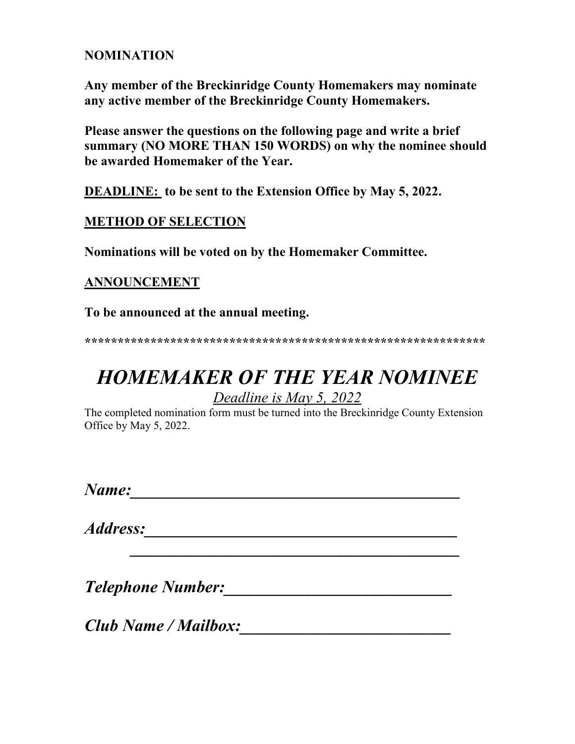### **NOMINATION**

**Any member of the Breckinridge County Homemakers may nominate any active member of the Breckinridge County Homemakers.**

**Please answer the questions on the following page and write a brief summary (NO MORE THAN 150 WORDS) on why the nominee should be awarded Homemaker of the Year.**

**DEADLINE: to be sent to the Extension Office by May 5, 2022.**

### **METHOD OF SELECTION**

**Nominations will be voted on by the Homemaker Committee.**

### **ANNOUNCEMENT**

**To be announced at the annual meeting.**

**\*\*\*\*\*\*\*\*\*\*\*\*\*\*\*\*\*\*\*\*\*\*\*\*\*\*\*\*\*\*\*\*\*\*\*\*\*\*\*\*\*\*\*\*\*\*\*\*\*\*\*\*\*\*\*\*\*\*\*\*\***

# *HOMEMAKER OF THE YEAR NOMINEE Deadline is May 5, 2022*

The completed nomination form must be turned into the Breckinridge County Extension Office by May 5, 2022.

 *\_\_\_\_\_\_\_\_\_\_\_\_\_\_\_\_\_\_\_\_\_\_\_\_\_\_\_\_\_\_\_\_\_\_\_\_\_\_\_*

*Name:\_\_\_\_\_\_\_\_\_\_\_\_\_\_\_\_\_\_\_\_\_\_\_\_\_\_\_\_\_\_\_\_\_\_\_\_\_\_\_*

*Address:\_\_\_\_\_\_\_\_\_\_\_\_\_\_\_\_\_\_\_\_\_\_\_\_\_\_\_\_\_\_\_\_\_\_\_\_\_*

*Telephone Number:\_\_\_\_\_\_\_\_\_\_\_\_\_\_\_\_\_\_\_\_\_\_\_\_\_\_\_*

*Club Name / Mailbox:\_\_\_\_\_\_\_\_\_\_\_\_\_\_\_\_\_\_\_\_\_\_\_\_\_*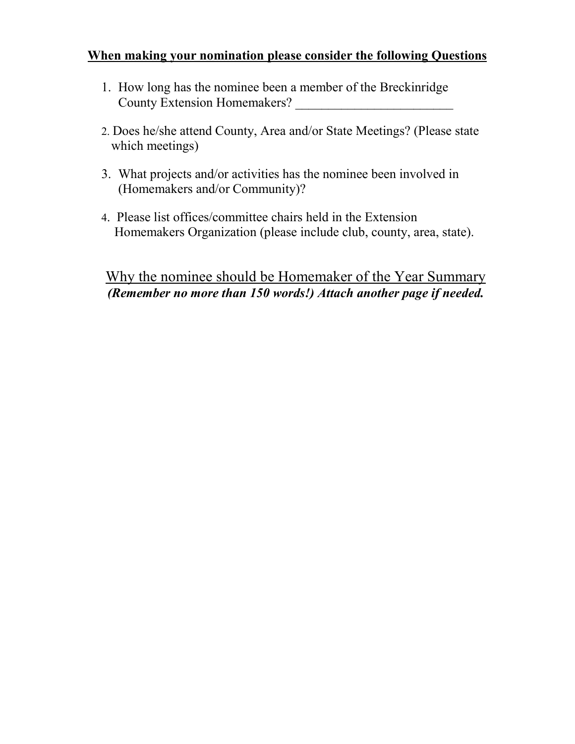### **When making your nomination please consider the following Questions**

- 1. How long has the nominee been a member of the Breckinridge County Extension Homemakers? \_\_\_\_\_\_\_\_\_\_\_\_\_\_\_\_\_\_\_\_\_\_\_\_
- 2. Does he/she attend County, Area and/or State Meetings? (Please state which meetings)
- 3. What projects and/or activities has the nominee been involved in (Homemakers and/or Community)?
- 4. Please list offices/committee chairs held in the Extension Homemakers Organization (please include club, county, area, state).

## Why the nominee should be Homemaker of the Year Summary *(Remember no more than 150 words!) Attach another page if needed.*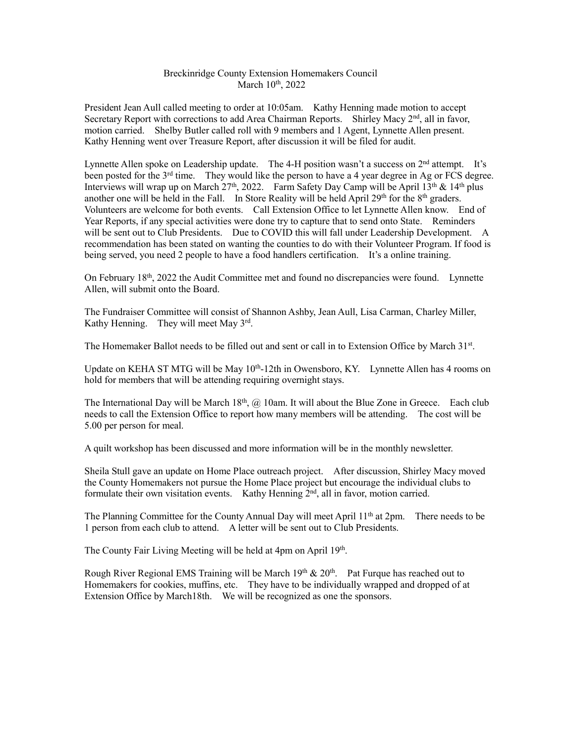#### Breckinridge County Extension Homemakers Council March 10<sup>th</sup>, 2022

President Jean Aull called meeting to order at 10:05am. Kathy Henning made motion to accept Secretary Report with corrections to add Area Chairman Reports. Shirley Macy 2<sup>nd</sup>, all in favor, motion carried. Shelby Butler called roll with 9 members and 1 Agent, Lynnette Allen present. Kathy Henning went over Treasure Report, after discussion it will be filed for audit.

Lynnette Allen spoke on Leadership update. The 4-H position wasn't a success on 2<sup>nd</sup> attempt. It's been posted for the  $3^{rd}$  time. They would like the person to have a 4 year degree in Ag or FCS degree. Interviews will wrap up on March 27<sup>th</sup>, 2022. Farm Safety Day Camp will be April 13<sup>th</sup> & 14<sup>th</sup> plus another one will be held in the Fall. In Store Reality will be held April 29<sup>th</sup> for the 8<sup>th</sup> graders. Volunteers are welcome for both events. Call Extension Office to let Lynnette Allen know. End of Year Reports, if any special activities were done try to capture that to send onto State. Reminders will be sent out to Club Presidents. Due to COVID this will fall under Leadership Development. A recommendation has been stated on wanting the counties to do with their Volunteer Program. If food is being served, you need 2 people to have a food handlers certification. It's a online training.

On February 18th, 2022 the Audit Committee met and found no discrepancies were found. Lynnette Allen, will submit onto the Board.

The Fundraiser Committee will consist of Shannon Ashby, Jean Aull, Lisa Carman, Charley Miller, Kathy Henning. They will meet May 3rd.

The Homemaker Ballot needs to be filled out and sent or call in to Extension Office by March 31st.

Update on KEHA ST MTG will be May  $10^{th}$ -12th in Owensboro, KY. Lynnette Allen has 4 rooms on hold for members that will be attending requiring overnight stays.

The International Day will be March  $18<sup>th</sup>$ ,  $\omega$  10am. It will about the Blue Zone in Greece. Each club needs to call the Extension Office to report how many members will be attending. The cost will be 5.00 per person for meal.

A quilt workshop has been discussed and more information will be in the monthly newsletter.

Sheila Stull gave an update on Home Place outreach project. After discussion, Shirley Macy moved the County Homemakers not pursue the Home Place project but encourage the individual clubs to formulate their own visitation events. Kathy Henning 2<sup>nd</sup>, all in favor, motion carried.

The Planning Committee for the County Annual Day will meet April 11<sup>th</sup> at 2pm. There needs to be 1 person from each club to attend. A letter will be sent out to Club Presidents.

The County Fair Living Meeting will be held at 4pm on April 19<sup>th</sup>.

Rough River Regional EMS Training will be March  $19<sup>th</sup>$  &  $20<sup>th</sup>$ . Pat Furque has reached out to Homemakers for cookies, muffins, etc. They have to be individually wrapped and dropped of at Extension Office by March18th. We will be recognized as one the sponsors.